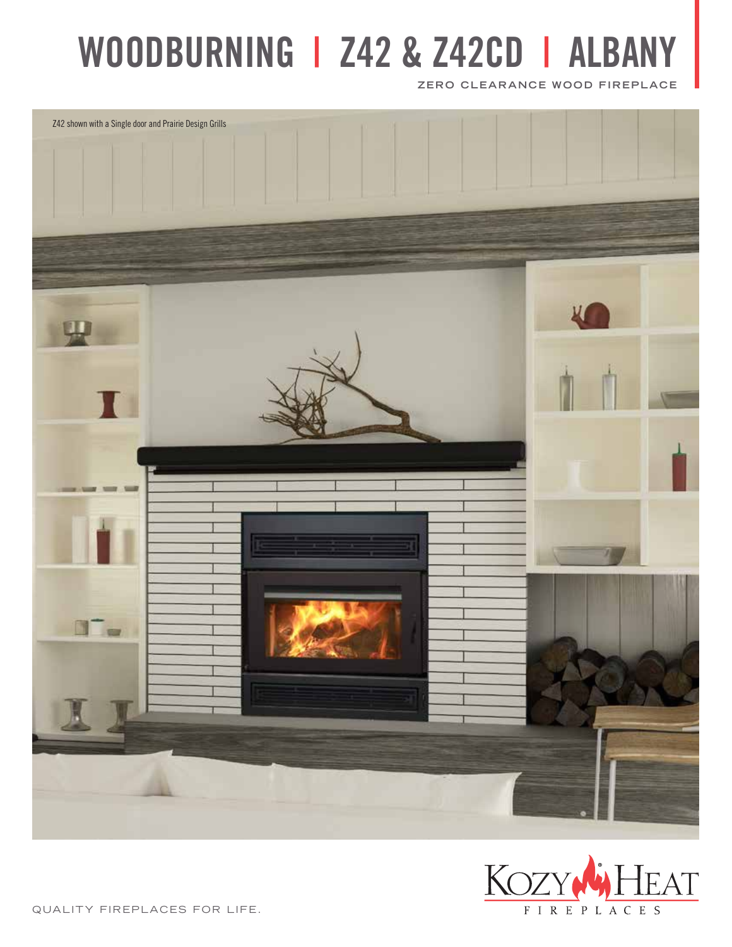# **WOODBURNING | Z42 & Z42CD | ALBANY**

**ZERO CLEARANCE WOOD FIREPLACE**





QUALITY FIREPLACES FOR LIFE.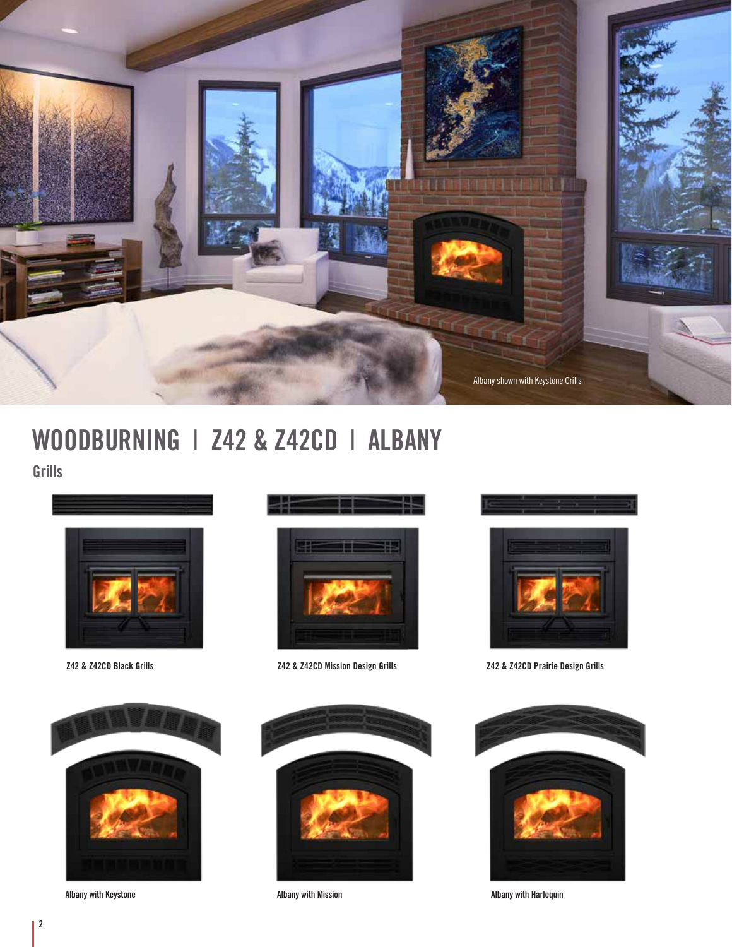

# **WOODBURNING** I **Z42 & Z42CD** I **ALBANY Grills**



**Z42 & Z42CD Black Grills**



**Albany with Keystone**





**Z42 & Z42CD Mission Design Grills**

**Albany with Mission**





**Z42 & Z42CD Prairie Design Grills**



**Albany with Harlequin**

**2**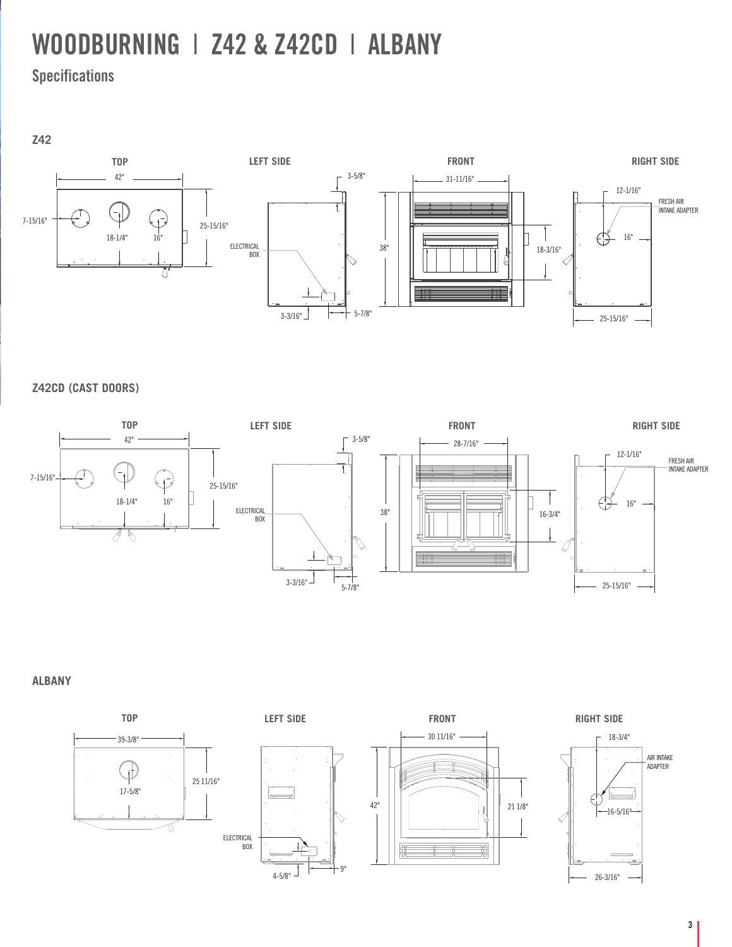# **WOODBURNING** I **Z42 & Z42CD** I **ALBANY**

**Specifications**

**Z42**



**Z42CD (CAST DOORS)**



**ALBANY**